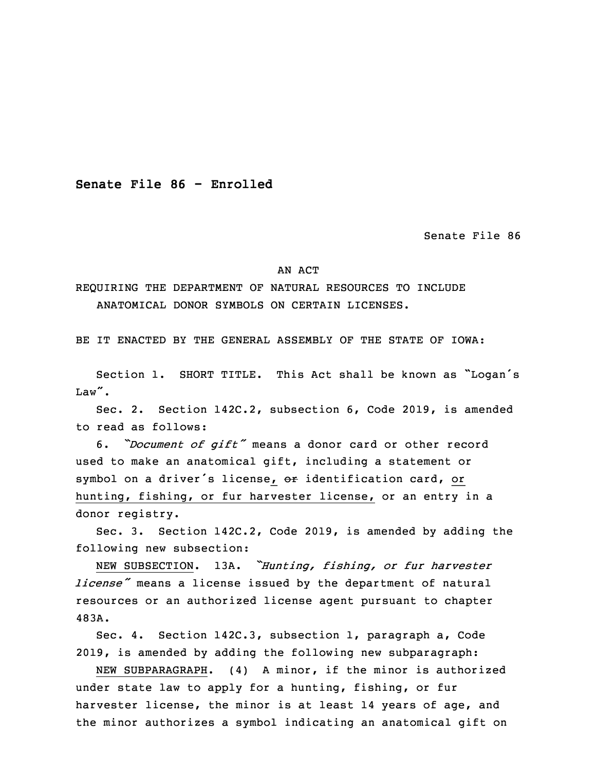**Senate File 86 - Enrolled**

Senate File 86

## AN ACT

REQUIRING THE DEPARTMENT OF NATURAL RESOURCES TO INCLUDE ANATOMICAL DONOR SYMBOLS ON CERTAIN LICENSES.

BE IT ENACTED BY THE GENERAL ASSEMBLY OF THE STATE OF IOWA:

 Section 1. SHORT TITLE. This Act shall be known as "Logan's Law".

Sec. 2. Section 142C.2, subsection 6, Code 2019, is amended to read as follows:

<sup>5</sup> 6. *"Document of gift"* means <sup>a</sup> donor card or other record used to make an anatomical gift, including a statement or symbol on a driver's license, or identification card, or hunting, fishing, or fur harvester license, or an entry in a donor registry.

Sec. 3. Section 142C.2, Code 2019, is amended by adding the following new subsection:

 NEW SUBSECTION. 13A. *"Hunting, fishing, or fur harvester license*<sup>*"*</sup> means a license issued by the department of natural resources or an authorized license agent pursuant to chapter 15 483A.

Sec. 4. Section 142C.3, subsection 1, paragraph a, Code 2019, is amended by adding the following new subparagraph:

NEW SUBPARAGRAPH. (4) A minor, if the minor is authorized under state law to apply for a hunting, fishing, or fur harvester license, the minor is at least 14 years of age, and the minor authorizes <sup>a</sup> symbol indicating an anatomical gift on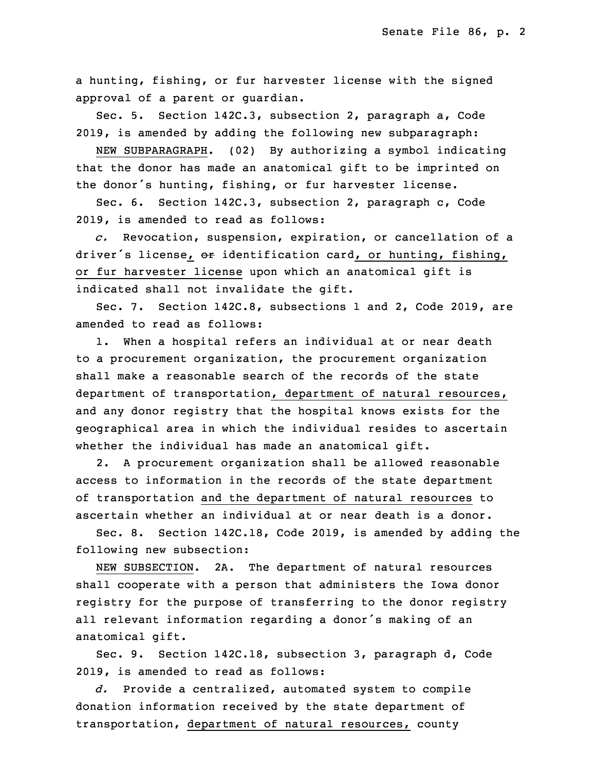<sup>a</sup> hunting, fishing, or fur harvester license with the signed approval of a parent or quardian.

 Sec. 5. Section 142C.3, subsection 2, paragraph a, Code 2019, is amended by adding the following new subparagraph:

NEW SUBPARAGRAPH. (02) By authorizing a symbol indicating that the donor has made an anatomical gift to be imprinted on the donor's hunting, fishing, or fur harvester license.

Sec. 6. Section 142C.3, subsection 2, paragraph c, Code 30 2019, is amended to read as follows:

31 *c.* Revocation, suspension, expiration, or cancellation of <sup>a</sup> driver's license, or identification card, or hunting, fishing, or fur harvester license upon which an anatomical gift is indicated shall not invalidate the gift.

Sec. 7. Section 142C.8, subsections 1 and 2, Code 2019, are amended to read as follows:

 1. When <sup>a</sup> hospital refers an individual at or near death to a procurement organization, the procurement organization shall make a reasonable search of the records of the state department of transportation, department of natural resources, and any donor registry that the hospital knows exists for the geographical area in which the individual resides to ascertain whether the individual has made an anatomical gift.

2. A procurement organization shall be allowed reasonable access to information in the records of the state department of transportation and the department of natural resources to ascertain whether an individual at or near death is <sup>a</sup> donor.

Sec. 8. Section 142C.18, Code 2019, is amended by adding the following new subsection:

NEW SUBSECTION. 2A. The department of natural resources shall cooperate with a person that administers the Iowa donor registry for the purpose of transferring to the donor registry all relevant information regarding a donor's making of an anatomical gift.

Sec. 9. Section 142C.18, subsection 3, paragraph d, Code 2019, is amended to read as follows:

 *d.* Provide <sup>a</sup> centralized, automated system to compile donation information received by the state department of transportation, department of natural resources, county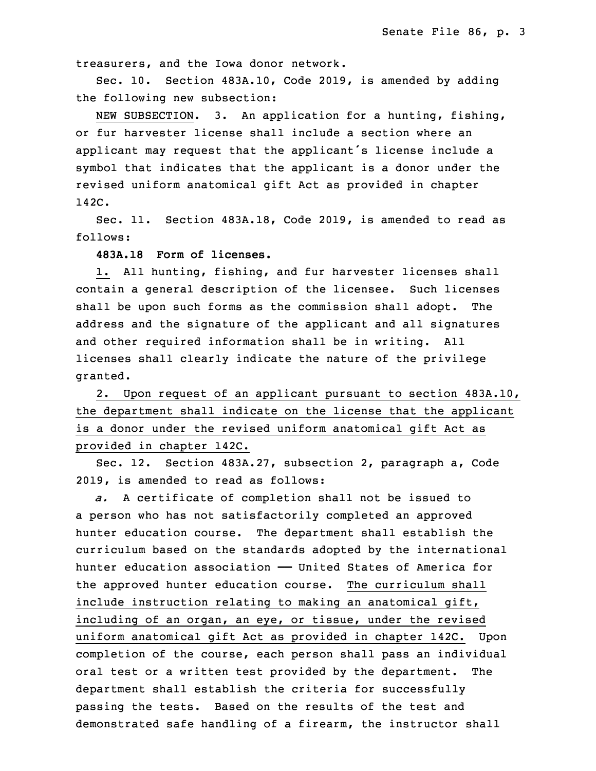treasurers, and the Iowa donor network.

Sec. 10. Section 483A.10, Code 2019, is amended by adding the following new subsection:

NEW SUBSECTION. 3. An application for a hunting, fishing, or fur harvester license shall include a section where an applicant may request that the applicant's license include a symbol that indicates that the applicant is a donor under the revised uniform anatomical gift Act as provided in chapter 33 142C.

Sec. 11. Section 483A.18, Code 2019, is amended to read as follows:

**483A.18 Form of licenses.**

 1. All hunting, fishing, and fur harvester licenses shall contain a general description of the licensee. Such licenses shall be upon such forms as the commission shall adopt. The address and the signature of the applicant and all signatures and other required information shall be in writing. All licenses shall clearly indicate the nature of the privilege granted.

2. Upon request of an applicant pursuant to section 483A.10, the department shall indicate on the license that the applicant is <sup>a</sup> donor under the revised uniform anatomical gift Act as provided in chapter 142C.

Sec. 12. Section 483A.27, subsection 2, paragraph a, Code 2019, is amended to read as follows:

a. A certificate of completion shall not be issued to a person who has not satisfactorily completed an approved hunter education course. The department shall establish the curriculum based on the standards adopted by the international hunter education association - United States of America for the approved hunter education course. The curriculum shall include instruction relating to making an anatomical gift, including of an organ, an eye, or tissue, under the revised uniform anatomical gift Act as provided in chapter 142C. Upon completion of the course, each person shall pass an individual oral test or a written test provided by the department. The department shall establish the criteria for successfully passing the tests. Based on the results of the test and demonstrated safe handling of a firearm, the instructor shall